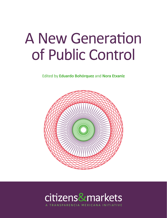# A New Generation of Public Control

Edited by **Eduardo Bohórquez** and **Nora Etxaniz**



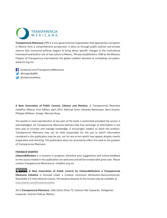

**Transparencia Mexicana** (TM) is a non-governmental organizaton that approaches corrupton in Mexico from a comprehensive perspective. It does so through public policies and private stances that transcend political slogans to bring about specific changes in the institutional framework and build a rule-of-law culture in Mexico. TM was established in 1999 as the Mexican Chapter of Transparency International the global coalition devoted to combating corruption. [www.tm.org.mx.](www.tm.org.mx)

 [facebook.com/TransparenciaMexicana](http://facebook.com/TransparenciaMexicana) [@IntegridadMx](http://twitter.com/#!/IntegridadMx) @cit[zensmarkets](http://twitter.com/#!/citizensmarkets)

**A New Generaton of Public Control, Citzens and Markets**, A Transparencia Mexicana Initatve, México, First Editon, April 2014. Editorial Team: Eduardo Bohórquez, Nora Etxaniz, Philippa Williams. Design: Marcela Rivas.

The partial or total reproduction of any part of the book is authorized provided the source is acknowledged. As Transparencia Mexicana believes that free exchange of informaton is the best way to increase and manage knowledge, it encourages readers to share this product. Transparencia Mexicana may not be held responsible for the use to which informaton contained in this publication may be put, nor for any errors which may appear despite careful preparation and checking. This publication does not necessarily reflect the view or the position of Transparencia Mexicana.

#### **FEEDBACK WANTED**

**Citzens&Markets** is a research in progress; therefore your suggestons and critcal feedback on the issues treated in this publication are welcome and will be treated with great care. Please contact Transparencia Mexicana at: [info@tm.org.mx](mailto:info@tm.org.mx)

**A New Generaton of Public Control by Citzens&Markets a Transparencia Mexicana Initatve** is licensed under a Creatve Commons Atributon-NonCommercial-ShareAlike 4.0 International License. Permissions beyond of this license may be available at <http://twitter.com/#!/citizensmarkets>

2014 **Transparencia Mexicana**, Calle Dulce Olivia 73, Colonia Villa Coyoacán, Delegación Coyoacán, Distrito Federal, México.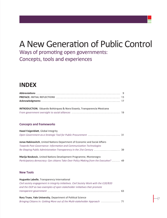### A New Generation of Public Control

Ways of promoting open governments: Concepts, tools and experiences

### **INDEX**

| <b>INTRODUCTION.</b> Eduardo Bohórquez & Nora Etxaniz, Transparencia Mexicana |                                                                                      |  |
|-------------------------------------------------------------------------------|--------------------------------------------------------------------------------------|--|
|                                                                               | From government oversight to social alliances …………………………………………………………………………………………… 19 |  |

#### **Concepts and frameworks**

| Hazel Feigenblatt, Global Integrity                                                   |  |
|---------------------------------------------------------------------------------------|--|
|                                                                                       |  |
| Jonas Rabinovitch, United Nations Department of Economic and Social Affairs           |  |
| Towards Post-Governance: Information and Communication Technologies                   |  |
|                                                                                       |  |
| Marija Novkovic, United Nations Development Programme, Montenegro                     |  |
| Participatory democracy: Can citizens Take Over Policy Making from the Executive?  49 |  |

#### **New Tools**

| Huguette Labelle, Transparency International                                           |     |
|----------------------------------------------------------------------------------------|-----|
| Civil society engagement in integrity initiatives. Civil Society Work with the G20/B20 |     |
| and the OGP as two examples of open stakeholder initiatives that promote               |     |
|                                                                                        | -63 |
|                                                                                        |     |

**Rory Truex, Yale University**, Department of Political Science *Bringing Citzens In: Getng More out of the Mult-stakeholder Approach* 71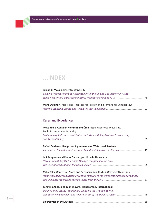**Transparencia Mexicana´s Series on**



#### **Liliane C. Mouan**, Coventry University

*Building Transparency and Accountability in the Oil and Gas Industry in Africa. What Next for the Extractve Industries Transparency Initatve (EITI)* 79

| Marc Engelhart, Max Planck Institute for Foreign and International Criminal Law |    |
|---------------------------------------------------------------------------------|----|
|                                                                                 | 93 |

#### **Cases and Experiences**

| Mete Yildiz, Abdullah Korkmaz and Ümit Alsaç, Hacettepe University,<br><b>Public Procurement Authority</b> |  |
|------------------------------------------------------------------------------------------------------------|--|
| Evaluation of E-Procurement System in Turkey with Emphasis on Transparency                                 |  |
|                                                                                                            |  |
| Rafael Calderón, Reciprocal Agreements for Watershed Services                                              |  |
|                                                                                                            |  |
| Luli Pesqueira and Pieter Glasbergen, Utrecht University                                                   |  |
| How Sustainability Partnerships Manage Complex Societal Issues:                                            |  |
|                                                                                                            |  |
| Miho Taka, Centre for Peace and Reconciliation Studies, Coventry University                                |  |
| Multi-stakeholder regulation of conflict minerals in the Democratic Republic of Congo:                     |  |
|                                                                                                            |  |
| Tehmina Abbas and Leah Wawro, Transparency International:                                                  |  |
| Defence and Security Programme Unveiling the 'Shadow World':                                               |  |
|                                                                                                            |  |
|                                                                                                            |  |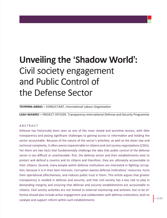## **Unveiling the 'Shadow World':**  Civil society engagement and Public Control of the Defense Sector

**TEHMINA ABBAS »** CONSULTANT, International Labour Organisation

**LEAH WAWRO »** PROJECT OFFICER, Transparency Internatonal Defense and Security Programme

#### ABSTRACT

Defense has historically been seen as one of the most closed and secretive sectors, with little transparency and posing significant challenges to gaining access to informaton and holding the sector accountable. Because of the nature of the sector's actvites, as well as the sheer size and technical complexity, it often seems impenetrable to citizens and civil society organizations (CSOs). Yet there are two facts that fundamentally challenge the idea that public control of the defense sector is too difficult or unachievable: first, the defense sector and their establishments exist to protect and defend a country and its citzens and therefore, they are ultmately accountable to their citizens. Second, many people within defense institutions are interested in fighting corruption, because it is in their best interests. Corruption wastes defense institutions' resources, hurts their operational effectiveness, and reduces public trust in them. This article argues that greater transparency is needed in defense and security, and that civil society has a key role to play in demanding integrity and ensuring that defense and security establishments are accountable to citizens. Civil society activities are not limited to external monitoring and activism, but to be effective should also include active engagement and collaboration with defense institutions, both to catalyze and support reform within such establishments.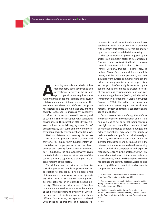**ADVancing towards the ideals of human freedom, good governance and international security in the current age of globalization requires care-<br>ful monitoring of national defense and security** man freedom, good governance and international security in the current age of globalization requires careestablishments and defense companies. The sensitivity associated with defense corruption has decreased since the Cold War era, and the security landscape is increasingly conducive to reform. It is a sector cloaked in secrecy and as such it is rife for corruption with dangerous consequences. The protection of the lives of citizens, nations' territorial integrity, armed forces' ethical integrity, vast sums of money, and the international security environment are all at stake.

National defense and security forces exist to serve and protect a state's citizens and territory; this makes them fundamentally accountable to the people. At a practical level, defense and security forces are – for the most part – funded by the taxpayer. However, given the technical and often secretive nature of the sector, there are significant challenges to citzen oversight of the sector.

The defense and security sector has historically presented ample opportunites for corruption to prosper as it has lacked levels of transparency necessary to ensure propriety. The shroud of secrecy surrounding most defense activities often extends beyond necessity. "National security interests" has become a widely used term and –can be widely abused, yet challenging the validity of whether these interests justify secrecy is inevitably difficult. Furthermore, the urgency associated with meeting operational and defense re-

quirements can allow for the circumventon of established rules and procedures. Combined with secrecy, this creates a fertile ground for opacity and uninformed decision-making.

The concentration of power enjoyed by the sector is an important factor to be considered. Enormous influence is wielded by defense companies in countries such as the US, Russia, UK, France, Germany, Sweden, Holland, Italy, Israel and China.<sup>1</sup> Government defense establishments, and the military in particular, are often insulated from outside command. Although the military in many countries might be perceived as corrupt, it is often a highly respected by the general public and almost as trusted in terms of corruption as religious bodies and non governmental organizatons (NGOs), as indicated in Transparency International's Global Corruption Barometer, 2006.<sup>2</sup> The military's exclusive and patriotic role of protecting a country's citizens, national territory and interests can create an image of infallibility.<sup>3</sup>

Such characteristics defining the defense and security sector, in combination and in isolation, can lead to full or partial exemption from oversight and accountability to society. A lack of technical knowledge of defense budgets and military operations may affect the ability of parliamentarians to perform critical oversight.<sup>4</sup> Efforts by civil society organizations (CSOs) to increase transparency and accountability in the defense sector may be blocked on the reasoning that CSOs lack the competence and expertise required to engage in the sector. Andrew Feinstein's characterizaton of the arms trade as a "shadow world," could well be applied to the entire defense and security sector; a world cloaked in secrecy, difficult to penetrate and obscure to comprehend and question.

4 Ibid.

<sup>1</sup> A. Feinstein, "The Shadow World: Inside the Global Arms Trade," Farrar, Straus & Giroux, 2011.

<sup>2</sup> Transparency International, "Building Integrity and Reducing Corruption Risk in Defense Establishments," Global Corruption Barometer 2006.

<sup>3</sup> "Building Integrity and Reducing Corrupton in Defense: A Compendium of Best Practices," Geneva Centre for the Democratic Control of the Armed Forces, Geneva, 2010.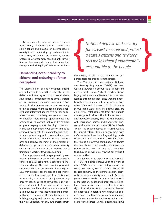An accountable defense sector requires transparency of information to citizens, enabling debate and dialogue on defense issues; oversight and monitoring by parliament and civil society of defense procurement, reform processes, or other activities; and anti-corruption mechanisms and relevant legislation that strengthens the integrity of defense institutions.

#### **Demanding accountability to citzens and reducing defense corrupton**

The ultimate aim of anti-corruption efforts and initiatives to strengthen integrity in the defense and security sector is a world where governments, armed forces and arms transfers are free from corruption and impropriety. Corruption in the defense sector can take many forms; examples might include a defense policy that is unfairly influenced by a particular defense company, to bribery in major arms deals, to nepotism determining appointments and promotions, to corrupt behavior by soldiers or peacekeeping forces. Tackling corruption in this seemingly impervious sector cannot be achieved overnight; it is a complex and multifaceted undertaking, which can only be accomplished through a sustained process. Awareness and acknowledgement of the problem of defense corruption in the defense and security sector, and the high risks associated with it is a first step in working towards a solution.

The importance and danger posed by corruption in the security sector is of serious public concern, so CSOs are a natural source for bringing about change. The traditonal image of civil society's role is as an external watchdog; an NGO may advocate for changes at a policy level and oversee reform processes from a distance, for example, or an investigative journalist may uncover specific cases of corruption. But in exerting civil control of the defense sector there is another role that civil society can play, which is to influence defense institutions and personnel by actively engaging them in the process of building integrity and countering corruption. In this way civil society not only puts pressure from

*Natonal defense and security forces exist to serve and protect a state's citzens and territory; this makes them fundamentally accountable to the people*

the outside, but also acts as a catalyst or supports a force for change from the inside.

The Transparency International Defense and Security Programme (TI-DSP) has been working towards an accountable, transparent defense sector since 2004. This article draws largely on its work and lessons that have been learned through its experience working directly with governments and in partnership with other NGOs and chapters of TI. TI-DSP works in two main ways: first, by putting pressure on defense establishments from the outside to change and reform. This includes research and advocacy efforts, such as the Defense Anti-Corruption Indices, and lobbying for anticorruption mechanisms in the UN Arms Trade Treaty. The second aspect of TI-DSP's work is to support reform through engagement with defense institutions, including training, workshops, and practical advice. TI-DSP has found that this is a powerful combination of tactics that contributes to increased awareness of corruption in the sector and practical steps taken to reduce it, as well as a growing belief that it can be tackled.

In additon to the experiences and research of TI-DSP, this article draws upon the work of other NGOs dedicated to building a more accountable security sector. Though this article focuses primarily on the defense sector specifically, rather than security more broadly (which is generally considered to include insttutons such as the judiciary, police and border control), it refers to information related to civil society oversight of security, as many of the lessons learned are applicable to defense. One useful civil society resource for broad advice and informaton is the Geneva Centre for the Democratic Control of the Armed Forces (DCAF)'s publicaton, *Public*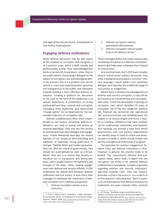*Oversight of the Security Sector: A Handbook for Civil Society Organisatons*. 5

#### **Engaging defense insttutons**

While defense personnel may be well aware of the problem of corrupton and recognise it as a systemic issue, which is both morally and professionally wrong, their acknowledgement tends to be behind closed doors, rather than in the public sphere. Developing a dialogue on the subject of corruption, and acknowledging within the ministry that it is a problem that can be solved, is a key step towards greater openness and transparency to the public, and ultmately towards building a more effective defense institution. Creating a platform for discussion of the issue at the level of the leadership is of utmost importance. A combination of strong political will and clear, resolute anti-corruption messaging from leadership and determined "change agents" are an ideal basis for the sustainable reduction of corruption risks.

Defense establishments often seem impenetrable to civil society; conversely, defense institutions, are used to seeing civil society as external watchdogs. They may see civil society as inimical and resist open dialogue and engagement. Tinatin Mikiashvili describes the shared function of civil society as both watchdog and supporter of legitmate, strong governance in Georgia: "[W]hile NGOs and media representatives can often be critical of governments, they should not automatically be seen as a threat. Rather, their aim is to ensure that security institutions act in transparent and democratic ways, which usually bolsters the legitmacy and strength of the state." When seeking engagement with defense and security officials, TI-DSP emphasises the shared aims between defense institutions and civil society. It uses three main messages to emphasise the importance of tackling corruption from a defense perspective:

1. Defense corruption wastes scarce resources;

- 2. Defense corruption reduces operational effectiveness;
- 3. Defense corruption reduces public trust in the defense sector.<sup>6</sup>

These messages define the simple reasons why combating corruption is in defense institutions' interest and helps open a dialogue that is based on mutual aims.

At a practical level, the TI-DSP team includes several retired senior military personnel; they share a background and speak a common "military language," which builds trust, facilitates dialogue, and may alter the traditonal image of civil society as antagonistic.

Where there is already acknowledgement of defense and security corruption, it may still be perceived as an overwhelming and unconquerable issue. TI-DSP has developed a typology of corruption risks, which identifies 29 areas of corruption risk in five key categories: political risk, financial risk, personnel risk, operational risk, and procurement risk. Breaking down the subject in its various shapes and forms is helpful in instilling confidence that each problem can be understood, confronted, and repaired. This typology can provide a base from which governments and civil society organisatons can identify areas in need of reform and develop plans to tackle it, which should include civil society oversight and monitoring of progress.

The potential for positive engagement between CSOs and defense institutions is clear. However, in general, the practice tends to be limited. The Government Defense Anti-Corruption Index, which looks in-depth into the corruption risk levels in 82 national defense establishments worldwide, includes a question regarding defense and security institutions' openness towards CSOs. Only one country, Australia, scored a top score (4, on a scale 0-4) on this question, indicating that "there is a policy or strong evidence that defense and security institutions are open towards CSOs, protects

<sup>5</sup> E. Cole, K. Eppert and K. Kinzelbach, "Public Oversight of the Security Sector: A Handbook for Civil Society Organisations," Valeur ,2008, [http://www.dcaf.ch/Publications/](http://www.dcaf.ch/Publications/Public-Oversight-of-the-Security-Sector) [Public-Oversight-of-the-Security-Sector](http://www.dcaf.ch/Publications/Public-Oversight-of-the-Security-Sector)

<sup>6</sup> M. Pyman, "Building Integrity and Reducing Corruption in Defense and Security: 20 Practical Reforms," Transparency International UK, [http://www.ti-defense.org/](http://www.ti-defence.org/publications/88-building-integrity-and-reducing-corruption-in-defence-and-security--20-practical-reforms) [publications/88-building-integrity-and-reducing-corruption](http://www.ti-defence.org/publications/88-building-integrity-and-reducing-corruption-in-defence-and-security--20-practical-reforms)[in-defense-and-security--20-practical-reforms](http://www.ti-defence.org/publications/88-building-integrity-and-reducing-corruption-in-defence-and-security--20-practical-reforms)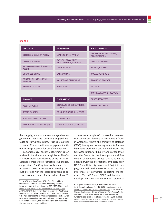#### **Image 1:**

| <b>POLITICAL</b>                                        | <b>PERSONNEL</b>                                     | <b>PROCUREMENT</b>                                       |
|---------------------------------------------------------|------------------------------------------------------|----------------------------------------------------------|
| DEFENCE & SECURITY POLICY                               | <b>LEADERSHIP BEHAVIOUR</b>                          | <b>TECHNICAL REQUIREMENTS /</b><br><b>SPECIFICATIONS</b> |
| <b>DEFENCE BUDGETS</b>                                  | PAYROLL, PROMOTIONS,<br><b>APPOINTMENTS, REWARDS</b> | <b>SINGLE SOURCING</b>                                   |
| <b>NEXUS OF DEFENCE &amp; NATIONAL</b><br><b>ASSETS</b> | <b>CONSCRIPTION</b>                                  | <b>AGENTS/BROKERS</b>                                    |
| <b>ORGANISED CRIME</b>                                  | <b>SALARY CHAIN</b>                                  | <b>COLLUSIVE BIDDERS</b>                                 |
| <b>CONTROL OF INTELLIGENCE</b><br><b>SERVICES</b>       | <b>VALUES AND STANDARDS</b>                          | <b>FINANCING PACKAGE</b>                                 |
| <b>EXPORT CONTROLS</b>                                  | <b>SMALL BRIBES</b>                                  | <b>OFFSETS</b>                                           |
|                                                         |                                                      | CONTRACT AWARD, DELIVERY                                 |
| <b>FINANCE</b>                                          | <b>OPERATIONS</b>                                    | <b>SUBCONTRACTORS</b>                                    |
| <b>ASSET DISPOSALS</b>                                  | <b>DISREGARD OF CORRUPTION IN</b><br><b>COUNTRY</b>  | <b>SELLER INFLUENCE</b>                                  |
| <b>SECRET BUDGETS</b>                                   | <b>CORRUPTION WITHIN MISSION</b>                     |                                                          |
| <b>MILITARY-OWNED BUSINESS</b>                          | <b>CONTRACTING</b>                                   |                                                          |
| <b>ILLEGAL PRIVATE ENTERPRISES</b>                      | PRIVATE SECURITY COMPANIES                           |                                                          |

them legally, and that they encourage their engagement. They have specifically engaged with CSOs on corruption issues." Just six countries scored a '3', which indicates engagement without formal protection for CSOs' involvement.

In Australia, civil society engagement is formalized in doctrine as a strategic issue. The Civil-Military Operations doctrine of the Australian Defense Forces states "effective civil-military cooperation (CIMIC) systems will enhance force protection. CIMIC is necessary to develop a robust interface with the local population and develop trust and respect for the military force."7

Another example of cooperation between civil society and defense organizations is found in Argentina, where the Ministry of Defense (MOD) has signed formal agreements for collaborative work with two national NGOs, the Civil Association for Equality and Justice (ACIJ) and the Center for the Investigation and Prevention of Economic Crimes (CIPCE), as well as engaging with the international anti-corruption NGO Global Integrity on research.<sup>8</sup> A joint campaign was held with the MOD and ACIJ to raise awareness of corruption reporting mechanisms. The MOD and CIPCE collaborated to develop detection mechanisms for "potential

<sup>7</sup> "ADF Operatons Series ADDP 3.11 Civil- Military Operations," Edition 2, Defense Publishing Service, Department of Defense, Canberra ACT 2600, 2009 [http://](http://www.defence.gov.au/adfwc/Documents/DoctrineLibrary/ADDP/ADDP3.11-Civil-MilitaryOperations.pdf) [www.defense.gov.au/adfwc/Documents/DoctrineLibrary/](http://www.defence.gov.au/adfwc/Documents/DoctrineLibrary/ADDP/ADDP3.11-Civil-MilitaryOperations.pdf) [ADDP/ADDP3.11-Civil-MilitaryOperations.pdf](http://www.defence.gov.au/adfwc/Documents/DoctrineLibrary/ADDP/ADDP3.11-Civil-MilitaryOperations.pdf) .The Australian Defense Forces define civil-military operations as follows: "The ADF approach to CMO encompasses interaction with government agencies, international organizations, NGOs, host nation concerns, the media and civil community at the strategic or operational level."

<sup>8</sup> Argentina Assessment, Government Defense Anti-Corruption Index, May 15, 2013, [http://government.](http://government.defenceindex.org/results/countries/argentina) [defenceindex.org/results/countries/argentina,](http://government.defenceindex.org/results/countries/argentina) Question 4 and Thomas Shipley, Anne-Christine Wegener, Mark Pyman, Codes of Conduct in Defense Ministries and Armed Forces: What makes a good code of conduct? June 2011, available online: [http://www.ti-defence.org/publications/90-codes-of](http://www.ti-defence.org/publications/90-codes-of-conduct-in-defence-ministries-and-armed-forces)[conduct-in-defence-ministries-and-armed-forces](http://www.ti-defence.org/publications/90-codes-of-conduct-in-defence-ministries-and-armed-forces)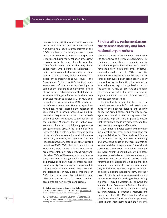cases of incompatbilites and conflicts of interest." In interviews for the Government Defense Anti-Corruption Index, representatives of the NGOs "emphasized the willingness and cooperation of the Ministry of Defense's Transparency Department during the negotiation processes."

Along with the general challenges that NGOs face in many countries that may hinder engagement with defense establishments limited resources, a lack of capacity or expertise in particular areas, and sometimes risks posed by addressing sensitve issues - the Government Defense Anti-Corruption Index assessments of other countries shed light on some of the challenges and potential pitfalls of civil society collaboraton with defense institutions. In Bulgaria, for example, there have been steps taken to involve CSOs in MOD anticorruption efforts, including CSO monitoring of defense procurement. However, questions have been raised regarding the selection of CSOs included in these processes, with indications that they may be chosen "on the basis of their supportive attitude to the policies of the Ministry." <sup>9</sup> Similarly, the Sri Lankan government is believed to limit its engagement to pro-government CSOs. A lack of political bias is key to a CSO's role as a fair representaton of the public's interests; without that independence and, moreover, the reputation for such independence, many of the public trust-related benefits of MOD-CSO collaboration are lost. In Zimbabwe, international political sensitivities are detrimental to engagement, as many officials view CSOs as Western agents, and "therefore, any attempt to engage with them would be perceived as an atempt to compromise national security.<sup>10</sup> Navigating the complex political and security environment that surrounds the defense sector may pose a challenge for CSOs, but can be eased by maintaining clear objectives, and ensuring that research and assessments are non-partisan and critical.

#### **Finding allies: parliamentarians, the defense industry and internatonal organizatons**

There are a range of stakeholders involved in the sector beyond defense establishments, including government bodies, companies, and international organizations: these crucial actors have the ability to influence levels of corruption and should be seen by CSOs as potential allies in increasing the accountability of the defense sector overall. Each organization is likely to have leverage with another: for example, an international or regional organization such as the EU or NATO may put pressure on a national government as part of the accession process; a government's export controls may restrict a defense companies' sales.

Holding legislators and legislative defense commitees accountable for their role in oversight of the national defense and security policy, the armed forces, and the intelligence agencies is crucial. As elected representatves of citizens, legislators are in place to ensure that the public's needs are protected, and that taxpayer funds are spent effectively.

Governmental bodies tasked with monitoring budgeting processes or anti-corruption can be potential allies for CSOs. Audit and finance organizations can play vital roles in detecting and preventing abuse of the large budgets allocated to defense expenditure. National anticorruption commissions, which have emerged in several countries should allocate significant importance to the issue of defense and security corruption. Sector-specific and context-specific reforms and strategies should be emphasised. In some countries such governmental bodies may lack the institutional support, resources, or political backing needed to carry out their tasks effectively, and support from civil society - either through public backing or by providing expertise - may be welcomed. Following the launch of the Government Defense Anti-Corruption Index in Malaysia, awareness-raising by Transparency International Malaysia and media attention, the Malaysian Anti-Corruption Government Transformation Programme's Performance Management and Delivery Unit

<sup>9</sup> Bulgaria Assessment, Government Defense AntCorruption Index, Question 4, April 3, 2013, [http://govern](http://government.defenceindex.org/results/countries/bulgaria)[ment.defenseindex.org/results/countries/bulgaria](http://government.defenceindex.org/results/countries/bulgaria)

<sup>10</sup> Zimbabwe Assessment, Government Defense AntiCorruption Index, Question 4, [http://government.defensein](http://government.defenceindex.org/results/countries/zimbabwe)[dex.org/results/countries/zimbabwe](http://government.defenceindex.org/results/countries/zimbabwe)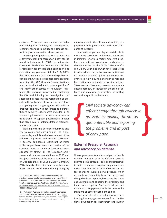contacted TI to learn more about the Index methodology and findings, and have requested recommendations to include the defense sector in a government-wide reform process.

An example of public and NGO support for a governmental anti-corruption body can be found in Indonesia. In 2003, the Indonesian Corruption Eradication Commission (KPK) had a reputation for investigating corruption and convicting top governmental elite.<sup>11</sup> By 2009, the KPK came under attack from the police and parliament. Civil society leaders came together to protect the KPK, through "demonstrations, marches to the Presidential palace, petitions," and many other tactics of nonviolent resistance; the pressure succeeded in sustaining the KPK and initiating an investigation that succeeded in securing the resignation of officials in the police and attorney general's office, and getting the charges against KPK officials dropped. The KPK was not limited to defense, though security leaders were included in its anti-corruption efforts, but such tactics can be transferable to support governmental bodies that play a role in holding defense establishments to account.

Working with the defense industry is also key to countering corruption in the global arms trade, and it is in the best interest of the industry to prevent and counter corruption in defense companies. Significant atempts in this regard have been the creation of the Common Industry Standards (CIS), which were adopted by almost all the European aerospace and defense associations in 2003 and the global initiative of the International Forum on Business Ethics (IFBEC) in 2010.<sup>12</sup> Company CEOs, boards of directors and compliance officers benefit from strengthening integrity

measures within their firms and avoiding engagement with governments with poor standards of integrity.

International parties play a special role in monitoring corruption in different sectors and in initiating efforts to rectify emergent problems. International organizations and aid agencies such as the UN, the OECD, NATO, the African Union, DFID, and USAID have taken steps to acknowledge the problem of corruption and to promote anti-corruption conventions relevance to it by playing a monitoring role and by creating relevant dialogue on the subject. There remains, however, space for a more nuanced approach, an increase in the scale of activity, and increased prioritization of tackling corruption specific to the sector.

> *Civil society advocacy can efect change through collectve pressure by making the* status quo *untenable and exposing the problems and impact of corrupton*

#### **External Pressure: Research and advocacy on defense**

Where governments are intransigent or hostile to CSOs, engaging with the defense sector is likely to prove difficult. The lack of political will to address defense corruption may seem insurmountable. But civil society advocacy can effect change through collective pressure, which demands accountability from the sector and change by those in power, by making the status quo untenable and exposing the problems and impact of corruption. Such external pressure may lead to engagement with the defense institutions or other government bodies.

One example of external pressure transforming into engagement comes from the National Foundation for Democracy and Human

<sup>11</sup> S. Beyerle, "People Count: how citizen engagement and action challenge corruption and abuse," Paper presented at the Internatonal Peace Research Association Conference, Sydney, Australia, July 2010, [http://www.](http://www.nonviolent-conflict.org/images/stories/pdfs/people_count.pdf) [nonviolent-conflict.org/images/stories/pdfs/people\\_count.pdf](http://www.nonviolent-conflict.org/images/stories/pdfs/people_count.pdf) (accessed 03/04/13).

<sup>12</sup> M. Pyman, "Gaining ground on the anti-corruption front,"Janes Defense Weekly, November 16, 2011, [http://](http://www.ti-defence.org/publications/965-external--opinion-piece-in-jane%27s--gaining-ground-on-the-anticorruption-front) [www.ti-defense.org/publications/965-external--opinion-piece](http://www.ti-defence.org/publications/965-external--opinion-piece-in-jane%27s--gaining-ground-on-the-anticorruption-front)[in-jane%27s--gaining-ground-on-the-anticorruption-front,](http://www.ti-defence.org/publications/965-external--opinion-piece-in-jane%27s--gaining-ground-on-the-anticorruption-front) accessed May 28, 2012.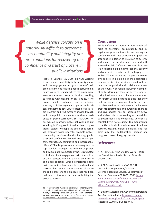**Transparencia Mexicana´s Series on**

*While defense corruption is notoriously difcult to overcome, accountability and integrity are pre-conditons for recovering the confidence and trust of citzens in public insttutons*

> Rights in Uganda (NAFODU), an NGO working to increase accountability in the security sector and civic engagement in Uganda. One of their projects aimed at reducing police corruption in South Western Uganda, where the police were seen as the most corrupt institution, unwilling to engage with citizens or civil society.<sup>13</sup> The project initally combined research, including a survey of bribe payment to police, with citizen engagement. NAFODU created a call-in radio program and text message service through which the public could contribute their experiences of police corruption. But NAFODU's focus was on improving police behavior, not just atacking it; Korugyendo Joseline, head of programs, stated "we hope the established forum will promote police integrity, promote policecommunity relatons thereby building public trust and confidence…this will lead to competent, courageous, committed and incorruptible officers."<sup>14</sup> Public pressure and shaming for corrupt conduct changed the balance of power, and from a public campaign by NAFODU shifed to include direct engagement with the police, at their request, including training on integrity and good conduct. Citizen complaints about police corruption have since been reduced and NAFODU has seen a rise in positve call-ins to the radio program; the dialogue that has been built places citizens at the heart of holding the police to account.

#### **Conclusions**

While defense corruption is notoriously difficult to overcome, accountability and integrity are pre-conditons for recovering the confidence and trust of citzens in public institutions, in addition to provision of defense and security at an affordable cost and with acceptable risk. Defense corrupton is a central risk issue in building internatonal security and one, which to date, has been largely overlooked. When considering the precise role for civil society in building a more accountable defense sector, the strategies used will depend on the political and social environment of the country or region; however, examples of both external pressure on defense and security institutions and collaborative support for reform within institutions exist that show that civil society engagement in this sector is possible. We live today in an era conducive to great transformaton and sweeping changes, and civil society has an increasingly active and visible role in demanding accountability by governments and companies. Defense accountability is not a subject too monumental to tackle. It is within the interests of natonal security, citizens, defense officials, and soldiers alike that collaboration increase and progress towards integrity is made.

#### **References**

**•** A. Feinstein, "The Shadow World: Inside the Global Arms Trade," Farrar, Straus & Giroux, 2011.

• ADF Operations Series "ADDP 3.11 Civil- Military Operatons," Editon 2, Defense Publishing Service, Department of Defense, Canberra ACT 2600, 2009, [http://](http://www.defence.gov.au/adfwc/Documents/DoctrineLibrary/ADDP/ADDP3.11-Civil-MilitaryOperations.pdf) [www.defense.gov.au/adfwc/Documents/](http://www.defence.gov.au/adfwc/Documents/DoctrineLibrary/ADDP/ADDP3.11-Civil-MilitaryOperations.pdf) [DoctrineLibrary/ADDP/ADDP3.11-Civil-](http://www.defence.gov.au/adfwc/Documents/DoctrineLibrary/ADDP/ADDP3.11-Civil-MilitaryOperations.pdf)[MilitaryOperations.pdf](http://www.defence.gov.au/adfwc/Documents/DoctrineLibrary/ADDP/ADDP3.11-Civil-MilitaryOperations.pdf)

**•** Bulgaria Assessment, Government Defense Anti-Corruption Index, [http://government.](http://government.defenceindex.org/results/countries/bulgaria) [defenseindex.org/results/countries/bulgaria](http://government.defenceindex.org/results/countries/bulgaria) (accessed 03/04/13); Queston 4.

<sup>13</sup> J. Korugyendo, "Laws are not enough: citizens against corruption in police and judicial institutions," Police Community Partnership Forum. NAFODU, Presentaton for the 14th International Anti-Corruption Conference 2010, [14iacc.](14iacc.org/wp) [org/wp-](14iacc.org/wp)content/.../<DownloadFullPresentationII.doc>